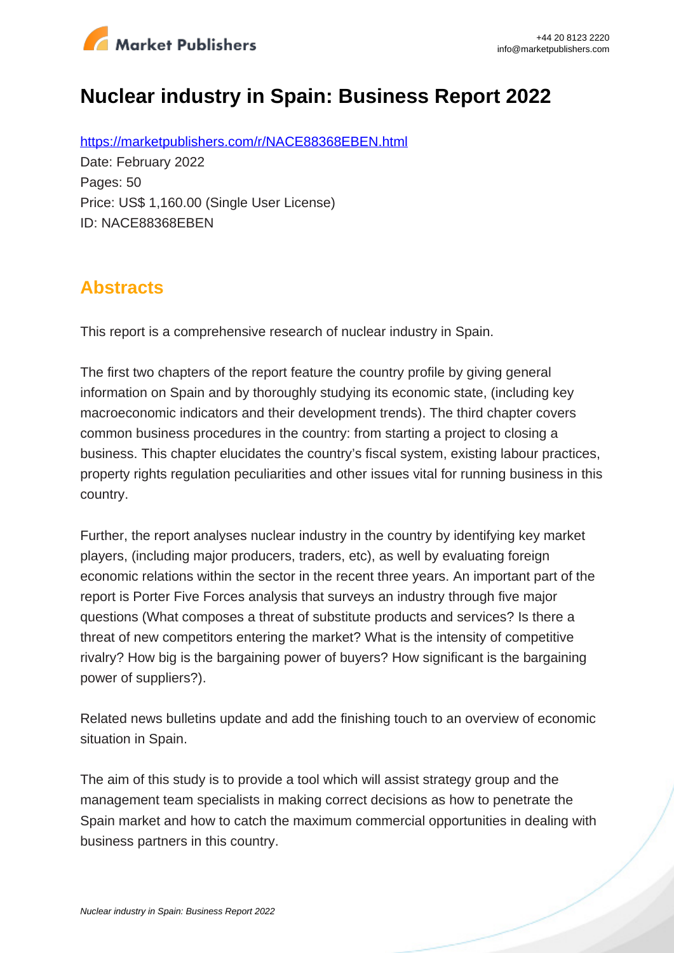

# **Nuclear industry in Spain: Business Report 2022**

https://marketpublishers.com/r/NACE88368EBEN.html Date: February 2022 Pages: 50 Price: US\$ 1,160.00 (Single User License) ID: NACE88368EBEN

### **Abstracts**

This report is a comprehensive research of nuclear industry in Spain.

The first two chapters of the report feature the country profile by giving general information on Spain and by thoroughly studying its economic state, (including key macroeconomic indicators and their development trends). The third chapter covers common business procedures in the country: from starting a project to closing a business. This chapter elucidates the country's fiscal system, existing labour practices, property rights regulation peculiarities and other issues vital for running business in this country.

Further, the report analyses nuclear industry in the country by identifying key market players, (including major producers, traders, etc), as well by evaluating foreign economic relations within the sector in the recent three years. An important part of the report is Porter Five Forces analysis that surveys an industry through five major questions (What composes a threat of substitute products and services? Is there a threat of new competitors entering the market? What is the intensity of competitive rivalry? How big is the bargaining power of buyers? How significant is the bargaining power of suppliers?).

Related news bulletins update and add the finishing touch to an overview of economic situation in Spain.

The aim of this study is to provide a tool which will assist strategy group and the management team specialists in making correct decisions as how to penetrate the Spain market and how to catch the maximum commercial opportunities in dealing with business partners in this country.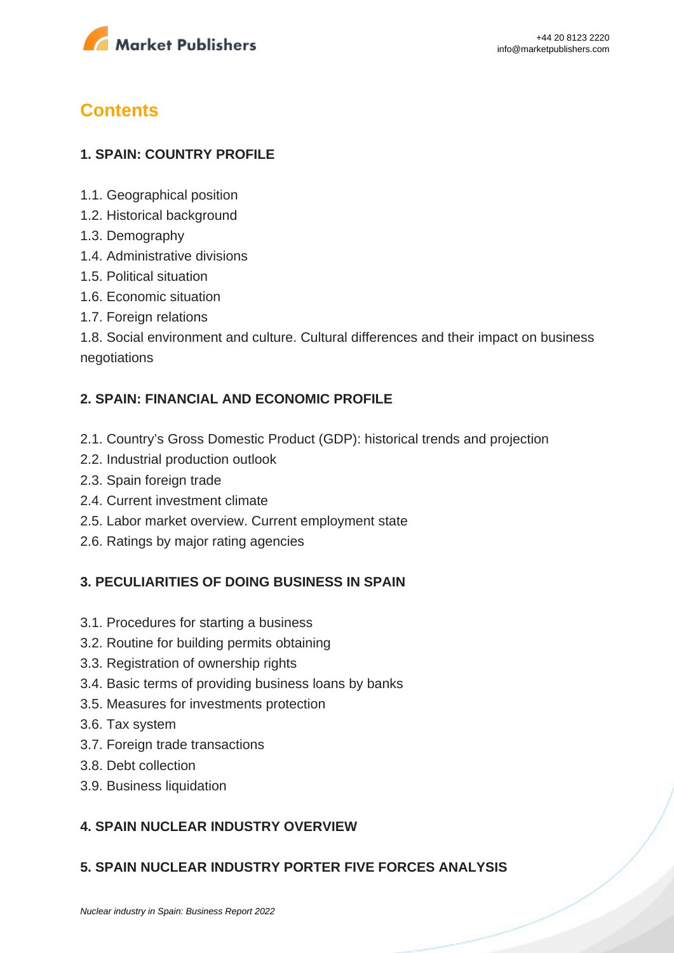

## **Contents**

#### **1. SPAIN: COUNTRY PROFILE**

- 1.1. Geographical position
- 1.2. Historical background
- 1.3. Demography
- 1.4. Administrative divisions
- 1.5. Political situation
- 1.6. Economic situation
- 1.7. Foreign relations

1.8. Social environment and culture. Cultural differences and their impact on business negotiations

#### **2. SPAIN: FINANCIAL AND ECONOMIC PROFILE**

- 2.1. Country's Gross Domestic Product (GDP): historical trends and projection
- 2.2. Industrial production outlook
- 2.3. Spain foreign trade
- 2.4. Current investment climate
- 2.5. Labor market overview. Current employment state
- 2.6. Ratings by major rating agencies

#### **3. PECULIARITIES OF DOING BUSINESS IN SPAIN**

- 3.1. Procedures for starting a business
- 3.2. Routine for building permits obtaining
- 3.3. Registration of ownership rights
- 3.4. Basic terms of providing business loans by banks
- 3.5. Measures for investments protection
- 3.6. Tax system
- 3.7. Foreign trade transactions
- 3.8. Debt collection
- 3.9. Business liquidation

#### **4. SPAIN NUCLEAR INDUSTRY OVERVIEW**

#### **5. SPAIN NUCLEAR INDUSTRY PORTER FIVE FORCES ANALYSIS**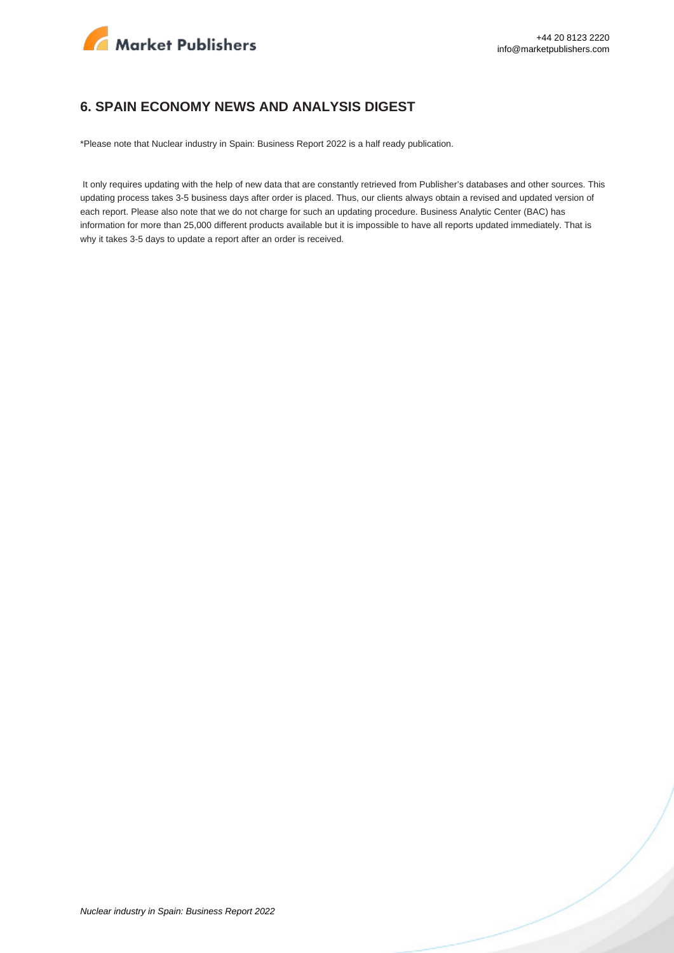

#### **6. SPAIN ECONOMY NEWS AND ANALYSIS DIGEST**

\*Please note that Nuclear industry in Spain: Business Report 2022 is a half ready publication.

 It only requires updating with the help of new data that are constantly retrieved from Publisher's databases and other sources. This updating process takes 3-5 business days after order is placed. Thus, our clients always obtain a revised and updated version of each report. Please also note that we do not charge for such an updating procedure. Business Analytic Center (BAC) has information for more than 25,000 different products available but it is impossible to have all reports updated immediately. That is why it takes 3-5 days to update a report after an order is received.